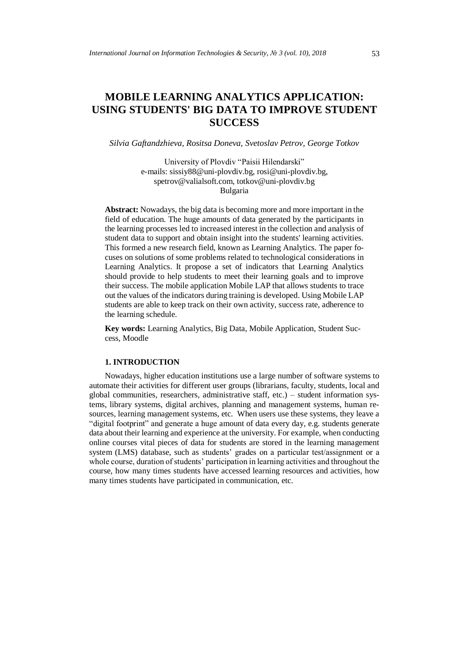# **MOBILE LEARNING ANALYTICS APPLICATION: USING STUDENTS' BIG DATA TO IMPROVE STUDENT SUCCESS**

*Silvia Gaftandzhieva, Rositsa Doneva, Svetoslav Petrov, George Totkov*

University of Plovdiv "Paisii Hilendarski" e-mails: sissiy88@uni-plovdiv.bg, rosi@uni-plovdiv.bg, spetrov@valialsoft.com, totkov@uni-plovdiv.bg Bulgaria

**Abstract:** Nowadays, the big data is becoming more and more important in the field of education. The huge amounts of data generated by the participants in the learning processes led to increased interest in the collection and analysis of student data to support and obtain insight into the students' learning activities. This formed a new research field, known as Learning Analytics. The paper focuses on solutions of some problems related to technological considerations in Learning Analytics. It propose a set of indicators that Learning Analytics should provide to help students to meet their learning goals and to improve their success. The mobile application Mobile LAP that allows students to trace out the values of the indicators during training is developed. Using Mobile LAP students are able to keep track on their own activity, success rate, adherence to the learning schedule.

**Key words:** Learning Analytics, Big Data, Mobile Application, Student Success, Moodle

#### **1. INTRODUCTION**

Nowadays, higher education institutions use a large number of software systems to automate their activities for different user groups (librarians, faculty, students, local and global communities, researchers, administrative staff, etc.) – student information systems, library systems, digital archives, planning and management systems, human resources, learning management systems, etc. When users use these systems, they leave a "digital footprint" and generate a huge amount of data every day, e.g. students generate data about their learning and experience at the university. For example, when conducting online courses vital pieces of data for students are stored in the learning management system (LMS) database, such as students' grades on a particular test/assignment or a whole course, duration of students' participation in learning activities and throughout the course, how many times students have accessed learning resources and activities, how many times students have participated in communication, etc.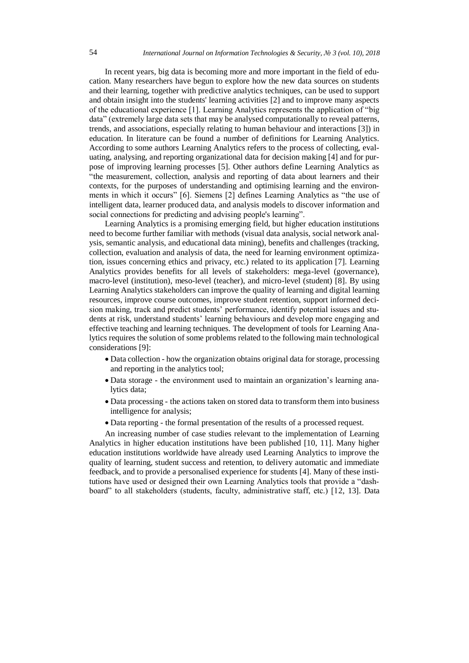In recent years, big data is becoming more and more important in the field of education. Many researchers have begun to explore how the new data sources on students and their learning, together with predictive analytics techniques, can be used to support and obtain insight into the students' learning activities [2] and to improve many aspects of the educational experience [1]. Learning Analytics represents the application of "big data" (extremely large data sets that may be analysed computationally to reveal patterns, trends, and associations, especially relating to human behaviour and interactions [3]) in education. In literature can be found a number of definitions for Learning Analytics. According to some authors Learning Analytics refers to the process of collecting, evaluating, analysing, and reporting organizational data for decision making [4] and for purpose of improving learning processes [5]. Other authors define Learning Analytics as "the measurement, collection, analysis and reporting of data about learners and their contexts, for the purposes of understanding and optimising learning and the environments in which it occurs" [6]. Siemens [2] defines Learning Analytics as "the use of intelligent data, learner produced data, and analysis models to discover information and social connections for predicting and advising people's learning".

Learning Analytics is a promising emerging field, but higher education institutions need to become further familiar with methods (visual data analysis, social network analysis, semantic analysis, and educational data mining), benefits and challenges (tracking, collection, evaluation and analysis of data, the need for learning environment optimization, issues concerning ethics and privacy, etc.) related to its application [7]. Learning Analytics provides benefits for all levels of stakeholders: mega-level (governance), macro-level (institution), meso-level (teacher), and micro-level (student) [8]. By using Learning Analytics stakeholders can improve the quality of learning and digital learning resources, improve course outcomes, improve student retention, support informed decision making, track and predict students' performance, identify potential issues and students at risk, understand students' learning behaviours and develop more engaging and effective teaching and learning techniques. The development of tools for Learning Analytics requires the solution of some problems related to the following main technological considerations [9]:

- Data collection how the organization obtains original data for storage, processing and reporting in the analytics tool;
- Data storage the environment used to maintain an organization's learning analytics data;
- Data processing the actions taken on stored data to transform them into business intelligence for analysis;
- Data reporting the formal presentation of the results of a processed request.

An increasing number of case studies relevant to the implementation of Learning Analytics in higher education institutions have been published [10, 11]. Many higher education institutions worldwide have already used Learning Analytics to improve the quality of learning, student success and retention, to delivery automatic and immediate feedback, and to provide a personalised experience for students [4]. Many of these institutions have used or designed their own Learning Analytics tools that provide a "dashboard" to all stakeholders (students, faculty, administrative staff, etc.) [12, 13]. Data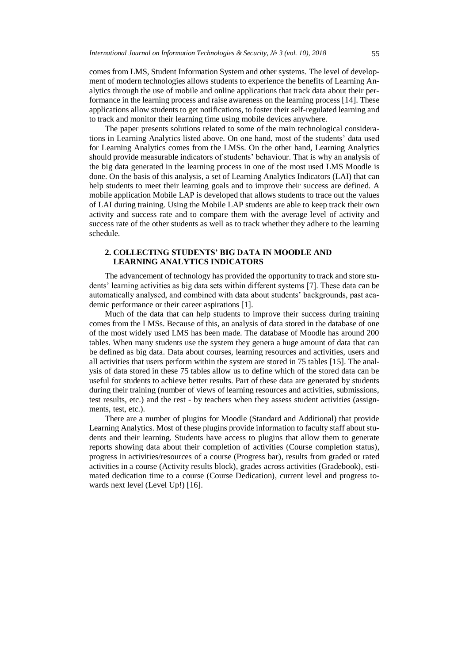comes from LMS, Student Information System and other systems. The level of development of modern technologies allows students to experience the benefits of Learning Analytics through the use of mobile and online applications that track data about their performance in the learning process and raise awareness on the learning process [14]. These applications allow students to get notifications, to foster their self-regulated learning and to track and monitor their learning time using mobile devices anywhere.

The paper presents solutions related to some of the main technological considerations in Learning Analytics listed above. On one hand, most of the students' data used for Learning Analytics comes from the LMSs. On the other hand, Learning Analytics should provide measurable indicators of students' behaviour. That is why an analysis of the big data generated in the learning process in one of the most used LMS Moodle is done. On the basis of this analysis, a set of Learning Analytics Indicators (LAI) that can help students to meet their learning goals and to improve their success are defined. A mobile application Mobile LAP is developed that allows students to trace out the values of LAI during training. Using the Mobile LAP students are able to keep track their own activity and success rate and to compare them with the average level of activity and success rate of the other students as well as to track whether they adhere to the learning schedule.

## **2. COLLECTING STUDENTS' BIG DATA IN MOODLE AND LEARNING ANALYTICS INDICATORS**

The advancement of technology has provided the opportunity to track and store students' learning activities as big data sets within different systems [7]. These data can be automatically analysed, and combined with data about students' backgrounds, past academic performance or their career aspirations [1].

Much of the data that can help students to improve their success during training comes from the LMSs. Because of this, an analysis of data stored in the database of one of the most widely used LMS has been made. The database of Moodle has around 200 tables. When many students use the system they genera a huge amount of data that can be defined as big data. Data about courses, learning resources and activities, users and all activities that users perform within the system are stored in 75 tables [15]. The analysis of data stored in these 75 tables allow us to define which of the stored data can be useful for students to achieve better results. Part of these data are generated by students during their training (number of views of learning resources and activities, submissions, test results, etc.) and the rest - by teachers when they assess student activities (assignments, test, etc.).

There are a number of plugins for Moodle (Standard and Additional) that provide Learning Analytics. Most of these plugins provide information to faculty staff about students and their learning. Students have access to plugins that allow them to generate reports showing data about their completion of activities (Course completion status), progress in activities/resources of a course (Progress bar), results from graded or rated activities in a course (Activity results block), grades across activities (Gradebook), estimated dedication time to a course (Course Dedication), current level and progress towards next level (Level Up!) [16].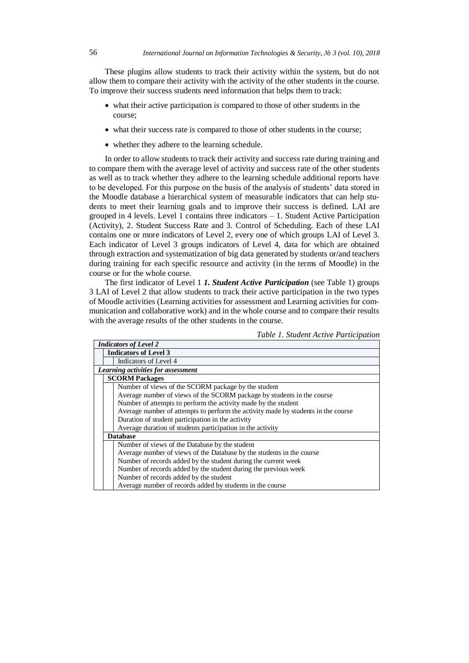These plugins allow students to track their activity within the system, but do not allow them to compare their activity with the activity of the other students in the course. To improve their success students need information that helps them to track:

- what their active participation is compared to those of other students in the course;
- what their success rate is compared to those of other students in the course;
- whether they adhere to the learning schedule.

In order to allow students to track their activity and success rate during training and to compare them with the average level of activity and success rate of the other students as well as to track whether they adhere to the learning schedule additional reports have to be developed. For this purpose on the basis of the analysis of students' data stored in the Moodle database a hierarchical system of measurable indicators that can help students to meet their learning goals and to improve their success is defined. LAI are grouped in 4 levels. Level 1 contains three indicators – 1. Student Active Participation (Activity), 2. Student Success Rate and 3. Control of Scheduling. Each of these LAI contains one or more indicators of Level 2, every one of which groups LAI of Level 3. Each indicator of Level 3 groups indicators of Level 4, data for which are obtained through extraction and systematization of big data generated by students or/and teachers during training for each specific resource and activity (in the terms of Moodle) in the course or for the whole course.

The first indicator of Level 1 *1. Student Active Participation* (see Table 1) groups 3 LAI of Level 2 that allow students to track their active participation in the two types of Moodle activities (Learning activities for assessment and Learning activities for communication and collaborative work) and in the whole course and to compare their results with the average results of the other students in the course.

| <b>Indicators of Level 2</b>                                                      |                                                           |                                                |  |  |  |
|-----------------------------------------------------------------------------------|-----------------------------------------------------------|------------------------------------------------|--|--|--|
|                                                                                   |                                                           | <b>Indicators of Level 3</b>                   |  |  |  |
|                                                                                   |                                                           | Indicators of Level 4                          |  |  |  |
|                                                                                   | Learning activities for assessment                        |                                                |  |  |  |
|                                                                                   | <b>SCORM Packages</b>                                     |                                                |  |  |  |
|                                                                                   | Number of views of the SCORM package by the student       |                                                |  |  |  |
| Average number of views of the SCORM package by students in the course            |                                                           |                                                |  |  |  |
| Number of attempts to perform the activity made by the student                    |                                                           |                                                |  |  |  |
| Average number of attempts to perform the activity made by students in the course |                                                           |                                                |  |  |  |
|                                                                                   | Duration of student participation in the activity         |                                                |  |  |  |
| Average duration of students participation in the activity                        |                                                           |                                                |  |  |  |
|                                                                                   | <b>Database</b>                                           |                                                |  |  |  |
|                                                                                   |                                                           | Number of views of the Database by the student |  |  |  |
| Average number of views of the Database by the students in the course             |                                                           |                                                |  |  |  |
| Number of records added by the student during the current week                    |                                                           |                                                |  |  |  |
| Number of records added by the student during the previous week                   |                                                           |                                                |  |  |  |
|                                                                                   | Number of records added by the student                    |                                                |  |  |  |
|                                                                                   | Average number of records added by students in the course |                                                |  |  |  |

*Table 1. Student Active Participation*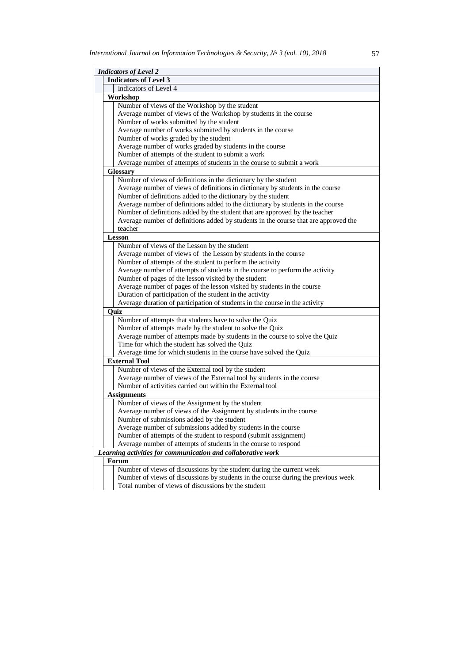| <b>Indicators of Level 2</b>                   |                                                                                     |  |  |
|------------------------------------------------|-------------------------------------------------------------------------------------|--|--|
|                                                | <b>Indicators of Level 3</b>                                                        |  |  |
|                                                | Indicators of Level 4                                                               |  |  |
| Workshop                                       |                                                                                     |  |  |
| Number of views of the Workshop by the student |                                                                                     |  |  |
|                                                | Average number of views of the Workshop by students in the course                   |  |  |
|                                                | Number of works submitted by the student                                            |  |  |
|                                                | Average number of works submitted by students in the course                         |  |  |
|                                                | Number of works graded by the student                                               |  |  |
|                                                | Average number of works graded by students in the course                            |  |  |
|                                                | Number of attempts of the student to submit a work                                  |  |  |
|                                                | Average number of attempts of students in the course to submit a work               |  |  |
|                                                | <b>Glossary</b>                                                                     |  |  |
|                                                | Number of views of definitions in the dictionary by the student                     |  |  |
|                                                | Average number of views of definitions in dictionary by students in the course      |  |  |
|                                                | Number of definitions added to the dictionary by the student                        |  |  |
|                                                | Average number of definitions added to the dictionary by students in the course     |  |  |
|                                                | Number of definitions added by the student that are approved by the teacher         |  |  |
|                                                | Average number of definitions added by students in the course that are approved the |  |  |
|                                                | teacher                                                                             |  |  |
|                                                | Lesson                                                                              |  |  |
|                                                | Number of views of the Lesson by the student                                        |  |  |
|                                                | Average number of views of the Lesson by students in the course                     |  |  |
|                                                | Number of attempts of the student to perform the activity                           |  |  |
|                                                | Average number of attempts of students in the course to perform the activity        |  |  |
|                                                | Number of pages of the lesson visited by the student                                |  |  |
|                                                | Average number of pages of the lesson visited by students in the course             |  |  |
|                                                | Duration of participation of the student in the activity                            |  |  |
|                                                | Average duration of participation of students in the course in the activity         |  |  |
|                                                | Ouiz                                                                                |  |  |
|                                                | Number of attempts that students have to solve the Quiz                             |  |  |
|                                                | Number of attempts made by the student to solve the Quiz                            |  |  |
|                                                | Average number of attempts made by students in the course to solve the Quiz         |  |  |
|                                                | Time for which the student has solved the Quiz                                      |  |  |
|                                                | Average time for which students in the course have solved the Quiz                  |  |  |
|                                                | <b>External Tool</b>                                                                |  |  |
|                                                | Number of views of the External tool by the student                                 |  |  |
|                                                | Average number of views of the External tool by students in the course              |  |  |
|                                                | Number of activities carried out within the External tool                           |  |  |
| <b>Assignments</b>                             |                                                                                     |  |  |
|                                                | Number of views of the Assignment by the student                                    |  |  |
|                                                | Average number of views of the Assignment by students in the course                 |  |  |
|                                                | Number of submissions added by the student                                          |  |  |
|                                                | Average number of submissions added by students in the course                       |  |  |
|                                                | Number of attempts of the student to respond (submit assignment)                    |  |  |
|                                                | Average number of attempts of students in the course to respond                     |  |  |
|                                                | Learning activities for communication and collaborative work                        |  |  |
|                                                | Forum                                                                               |  |  |
|                                                | Number of views of discussions by the student during the current week               |  |  |
|                                                | Number of views of discussions by students in the course during the previous week   |  |  |
|                                                | Total number of views of discussions by the student                                 |  |  |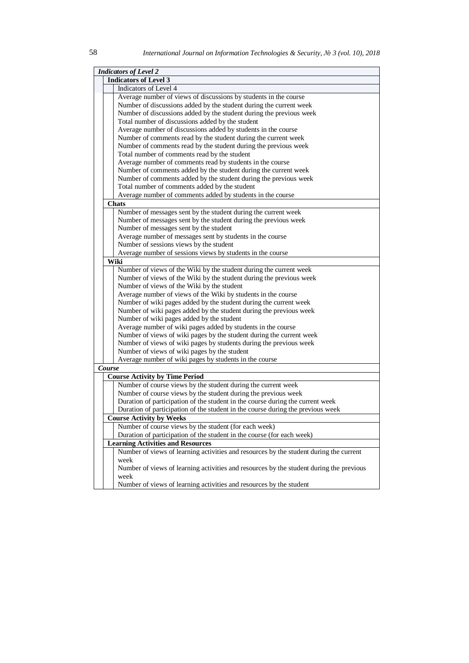|                                                                    | <b>Indicators of Level 2</b>                                           |                                                                                                 |  |  |  |
|--------------------------------------------------------------------|------------------------------------------------------------------------|-------------------------------------------------------------------------------------------------|--|--|--|
|                                                                    | <b>Indicators of Level 3</b>                                           |                                                                                                 |  |  |  |
|                                                                    | Indicators of Level 4                                                  |                                                                                                 |  |  |  |
|                                                                    | Average number of views of discussions by students in the course       |                                                                                                 |  |  |  |
| Number of discussions added by the student during the current week |                                                                        |                                                                                                 |  |  |  |
|                                                                    |                                                                        | Number of discussions added by the student during the previous week                             |  |  |  |
|                                                                    |                                                                        | Total number of discussions added by the student                                                |  |  |  |
|                                                                    |                                                                        | Average number of discussions added by students in the course                                   |  |  |  |
|                                                                    |                                                                        | Number of comments read by the student during the current week                                  |  |  |  |
|                                                                    |                                                                        | Number of comments read by the student during the previous week                                 |  |  |  |
|                                                                    |                                                                        | Total number of comments read by the student                                                    |  |  |  |
|                                                                    |                                                                        | Average number of comments read by students in the course                                       |  |  |  |
|                                                                    |                                                                        | Number of comments added by the student during the current week                                 |  |  |  |
|                                                                    |                                                                        | Number of comments added by the student during the previous week                                |  |  |  |
|                                                                    |                                                                        | Total number of comments added by the student                                                   |  |  |  |
|                                                                    |                                                                        | Average number of comments added by students in the course                                      |  |  |  |
|                                                                    |                                                                        | <b>Chats</b>                                                                                    |  |  |  |
|                                                                    |                                                                        | Number of messages sent by the student during the current week                                  |  |  |  |
|                                                                    |                                                                        | Number of messages sent by the student during the previous week                                 |  |  |  |
|                                                                    |                                                                        | Number of messages sent by the student                                                          |  |  |  |
|                                                                    |                                                                        | Average number of messages sent by students in the course                                       |  |  |  |
|                                                                    |                                                                        | Number of sessions views by the student                                                         |  |  |  |
|                                                                    |                                                                        | Average number of sessions views by students in the course                                      |  |  |  |
|                                                                    |                                                                        | Wiki                                                                                            |  |  |  |
|                                                                    |                                                                        | Number of views of the Wiki by the student during the current week                              |  |  |  |
|                                                                    |                                                                        | Number of views of the Wiki by the student during the previous week                             |  |  |  |
|                                                                    |                                                                        | Number of views of the Wiki by the student                                                      |  |  |  |
|                                                                    |                                                                        | Average number of views of the Wiki by students in the course                                   |  |  |  |
|                                                                    |                                                                        | Number of wiki pages added by the student during the current week                               |  |  |  |
|                                                                    |                                                                        | Number of wiki pages added by the student during the previous week                              |  |  |  |
|                                                                    |                                                                        | Number of wiki pages added by the student                                                       |  |  |  |
|                                                                    |                                                                        | Average number of wiki pages added by students in the course                                    |  |  |  |
|                                                                    |                                                                        | Number of views of wiki pages by the student during the current week                            |  |  |  |
|                                                                    |                                                                        | Number of views of wiki pages by students during the previous week                              |  |  |  |
|                                                                    |                                                                        | Number of views of wiki pages by the student                                                    |  |  |  |
|                                                                    |                                                                        | Average number of wiki pages by students in the course                                          |  |  |  |
|                                                                    | Course                                                                 |                                                                                                 |  |  |  |
|                                                                    |                                                                        | <b>Course Activity by Time Period</b>                                                           |  |  |  |
|                                                                    |                                                                        | Number of course views by the student during the current week                                   |  |  |  |
|                                                                    |                                                                        | Number of course views by the student during the previous week                                  |  |  |  |
|                                                                    |                                                                        | Duration of participation of the student in the course during the current week                  |  |  |  |
|                                                                    |                                                                        | Duration of participation of the student in the course during the previous week                 |  |  |  |
|                                                                    |                                                                        | <b>Course Activity by Weeks</b>                                                                 |  |  |  |
| Number of course views by the student (for each week)              |                                                                        |                                                                                                 |  |  |  |
|                                                                    | Duration of participation of the student in the course (for each week) |                                                                                                 |  |  |  |
|                                                                    |                                                                        | <b>Learning Activities and Resources</b>                                                        |  |  |  |
|                                                                    |                                                                        | Number of views of learning activities and resources by the student during the current          |  |  |  |
|                                                                    |                                                                        | week<br>Number of views of learning activities and resources by the student during the previous |  |  |  |
|                                                                    |                                                                        | week                                                                                            |  |  |  |
|                                                                    |                                                                        | Number of views of learning activities and resources by the student                             |  |  |  |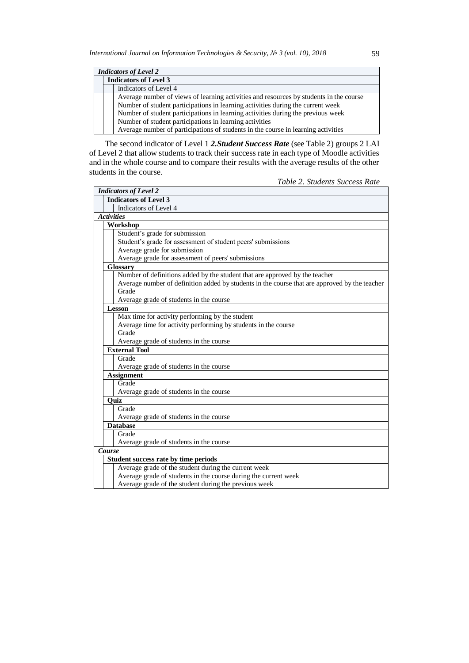| <b>Indicators of Level 2</b>                                                           |                              |                                                                                   |  |
|----------------------------------------------------------------------------------------|------------------------------|-----------------------------------------------------------------------------------|--|
|                                                                                        | <b>Indicators of Level 3</b> |                                                                                   |  |
|                                                                                        |                              | Indicators of Level 4                                                             |  |
| Average number of views of learning activities and resources by students in the course |                              |                                                                                   |  |
|                                                                                        |                              | Number of student participations in learning activities during the current week   |  |
|                                                                                        |                              | Number of student participations in learning activities during the previous week  |  |
|                                                                                        |                              | Number of student participations in learning activities                           |  |
|                                                                                        |                              | Average number of participations of students in the course in learning activities |  |

The second indicator of Level 1 *2.Student Success Rate* (see Table 2) groups 2 LAI of Level 2 that allow students to track their success rate in each type of Moodle activities and in the whole course and to compare their results with the average results of the other students in the course.

*Table 2. Students Success Rate*

| <b>Indicators of Level 2</b>                                                                  |  |  |  |
|-----------------------------------------------------------------------------------------------|--|--|--|
| <b>Indicators of Level 3</b>                                                                  |  |  |  |
| Indicators of Level 4                                                                         |  |  |  |
| <b>Activities</b>                                                                             |  |  |  |
| Workshop                                                                                      |  |  |  |
| Student's grade for submission                                                                |  |  |  |
| Student's grade for assessment of student peers' submissions                                  |  |  |  |
| Average grade for submission                                                                  |  |  |  |
| Average grade for assessment of peers' submissions                                            |  |  |  |
| <b>Glossary</b>                                                                               |  |  |  |
| Number of definitions added by the student that are approved by the teacher                   |  |  |  |
| Average number of definition added by students in the course that are approved by the teacher |  |  |  |
| Grade                                                                                         |  |  |  |
| Average grade of students in the course                                                       |  |  |  |
| <b>Lesson</b>                                                                                 |  |  |  |
| Max time for activity performing by the student                                               |  |  |  |
| Average time for activity performing by students in the course                                |  |  |  |
| Grade                                                                                         |  |  |  |
| Average grade of students in the course                                                       |  |  |  |
| <b>External Tool</b>                                                                          |  |  |  |
| Grade                                                                                         |  |  |  |
| Average grade of students in the course                                                       |  |  |  |
| <b>Assignment</b>                                                                             |  |  |  |
| Grade                                                                                         |  |  |  |
| Average grade of students in the course                                                       |  |  |  |
| Quiz                                                                                          |  |  |  |
| Grade                                                                                         |  |  |  |
| Average grade of students in the course                                                       |  |  |  |
| <b>Database</b>                                                                               |  |  |  |
| Grade                                                                                         |  |  |  |
| Average grade of students in the course                                                       |  |  |  |
| <b>Course</b>                                                                                 |  |  |  |
| Student success rate by time periods                                                          |  |  |  |
| Average grade of the student during the current week                                          |  |  |  |
| Average grade of students in the course during the current week                               |  |  |  |
| Average grade of the student during the previous week                                         |  |  |  |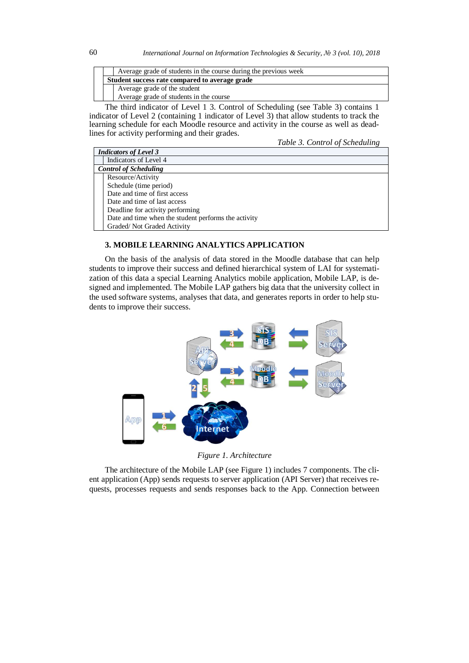| Average grade of students in the course during the previous week |  |
|------------------------------------------------------------------|--|
| Student success rate compared to average grade                   |  |
| Average grade of the student                                     |  |
| Average grade of students in the course                          |  |

The third indicator of Level 1 3. Control of Scheduling (see Table 3) contains 1 indicator of Level 2 (containing 1 indicator of Level 3) that allow students to track the learning schedule for each Moodle resource and activity in the course as well as deadlines for activity performing and their grades.

*Table 3. Control of Scheduling*

| <b>Indicators of Level 3</b> |                                                      |  |  |
|------------------------------|------------------------------------------------------|--|--|
|                              | Indicators of Level 4                                |  |  |
|                              | <b>Control of Scheduling</b>                         |  |  |
|                              | Resource/Activity                                    |  |  |
|                              | Schedule (time period)                               |  |  |
|                              | Date and time of first access                        |  |  |
|                              | Date and time of last access                         |  |  |
|                              | Deadline for activity performing                     |  |  |
|                              | Date and time when the student performs the activity |  |  |
|                              | Graded/Not Graded Activity                           |  |  |

# **3. MOBILE LEARNING ANALYTICS APPLICATION**

On the basis of the analysis of data stored in the Moodle database that can help students to improve their success and defined hierarchical system of LAI for systematization of this data a special Learning Analytics mobile application, Mobile LAP, is designed and implemented. The Mobile LAP gathers big data that the university collect in the used software systems, analyses that data, and generates reports in order to help students to improve their success.



*Figure 1. Architecture*

The architecture of the Mobile LAP (see Figure 1) includes 7 components. The client application (App) sends requests to server application (API Server) that receives requests, processes requests and sends responses back to the App. Connection between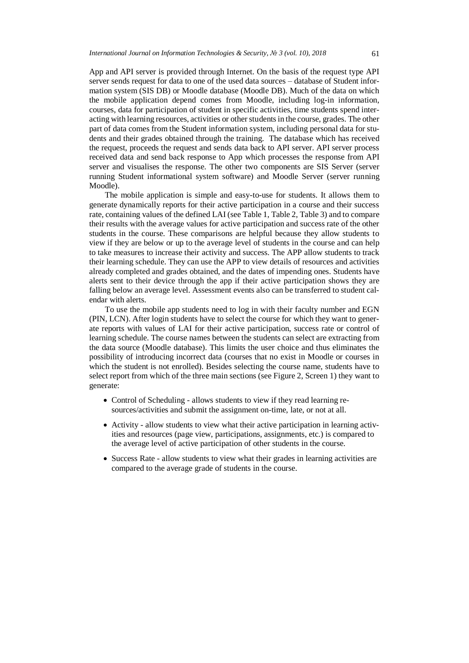App and API server is provided through Internet. On the basis of the request type API server sends request for data to one of the used data sources – database of Student information system (SIS DB) or Moodle database (Moodle DB). Much of the data on which the mobile application depend comes from Moodle, including log-in information, courses, data for participation of student in specific activities, time students spend interacting with learning resources, activities or other students in the course, grades. The other part of data comes from the Student information system, including personal data for students and their grades obtained through the training. The database which has received the request, proceeds the request and sends data back to API server. API server process received data and send back response to App which processes the response from API server and visualises the response. The other two components are SIS Server (server running Student informational system software) and Moodle Server (server running Moodle).

The mobile application is simple and easy-to-use for students. It allows them to generate dynamically reports for their active participation in a course and their success rate, containing values of the defined LAI (see Table 1, Table 2, Table 3) and to compare their results with the average values for active participation and success rate of the other students in the course. These comparisons are helpful because they allow students to view if they are below or up to the average level of students in the course and can help to take measures to increase their activity and success. The APP allow students to track their learning schedule. They can use the APP to view details of resources and activities already completed and grades obtained, and the dates of impending ones. Students have alerts sent to their device through the app if their active participation shows they are falling below an average level. Assessment events also can be transferred to student calendar with alerts.

To use the mobile app students need to log in with their faculty number and EGN (PIN, LCN). After login students have to select the course for which they want to generate reports with values of LAI for their active participation, success rate or control of learning schedule. The course names between the students can select are extracting from the data source (Moodle database). This limits the user choice and thus eliminates the possibility of introducing incorrect data (courses that no exist in Moodle or courses in which the student is not enrolled). Besides selecting the course name, students have to select report from which of the three main sections (see Figure 2, Screen 1) they want to generate:

- Control of Scheduling allows students to view if they read learning resources/activities and submit the assignment on-time, late, or not at all.
- Activity allow students to view what their active participation in learning activities and resources (page view, participations, assignments, etc.) is compared to the average level of active participation of other students in the course.
- Success Rate allow students to view what their grades in learning activities are compared to the average grade of students in the course.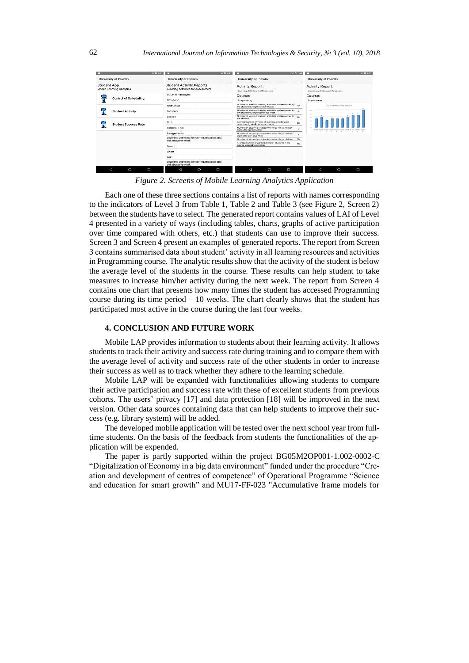| Si 0 1:03                                       | <sup>15</sup> 0.1:03                                                  | <b>SE D. 1:05</b>                                                                                 | 21.02                                                                       |
|-------------------------------------------------|-----------------------------------------------------------------------|---------------------------------------------------------------------------------------------------|-----------------------------------------------------------------------------|
| University of Plovdiv                           | <b>University of Plovdiv</b>                                          | <b>University of Plovdiv</b>                                                                      | University of Plovdiv                                                       |
| <b>Student App</b><br>Mobile Learning Analytics | <b>Student Activity Reports</b><br>Learning activities for assessment | <b>Activity Report:</b><br>Learning Activities and Resources                                      | <b>Activity Report:</b><br>Learning Activities and Resources                |
|                                                 | <b>SCORM Packages</b>                                                 | Course:                                                                                           | Course:                                                                     |
| <b>Control of Scheduling</b>                    | Database                                                              | Programming                                                                                       | Programming                                                                 |
|                                                 | Workshop                                                              | Number of views of learning activities and resources by 10<br>the student during the current week | Course views by weeks                                                       |
| <b>Student Activity</b>                         | Glossary                                                              | Number of views of learning activities and resources by<br>the student during the previous week   | 20 <sup>2</sup><br>$\mathbf{x}$<br>$\sim$                                   |
|                                                 | Lesson                                                                | Number of views of learning activities and resources by<br>so<br>the student                      |                                                                             |
| <b>Student Success Rate</b>                     | Quiz                                                                  | Average number of views of learning activities and<br>50<br>resources by students in the course   |                                                                             |
|                                                 | <b>External Tool</b>                                                  | Number of student participations in learning activities<br>×.<br>during the current week          | $\sim$<br>$\sim$<br>$\sim$<br>$\sim$<br>15.07<br>$\sim$<br>$\sim$<br>$\sim$ |
|                                                 | Assignments                                                           | Number of student participations in learning activities<br>during the previous week               | $\sim$                                                                      |
|                                                 | Learning activities for communication and<br>collaborative work       | Number of student participations in learning activities<br>10                                     |                                                                             |
|                                                 | Forum                                                                 | Average number of participations of students in the<br>15<br>course in learning activities        |                                                                             |
|                                                 | Chats                                                                 |                                                                                                   |                                                                             |
|                                                 | Wiki                                                                  |                                                                                                   |                                                                             |
|                                                 | Learning activities for communication and<br>collaborative work       |                                                                                                   |                                                                             |
| $\circ$<br>◁<br>Ξ                               | $\circ$<br>$\Box$<br>Δ                                                | Δ<br>$\circ$<br>Ο                                                                                 | $\circ$<br>◁<br>Ξ                                                           |

*Figure 2. Screens of Mobile Learning Analytics Application* 

Each one of these three sections contains a list of reports with names corresponding to the indicators of Level 3 from Table 1, Table 2 and Table 3 (see Figure 2, Screen 2) between the students have to select. The generated report contains values of LAI of Level 4 presented in a variety of ways (including tables, charts, graphs of active participation over time compared with others, etc.) that students can use to improve their success. Screen 3 and Screen 4 present an examples of generated reports. The report from Screen 3 contains summarised data about student' activity in all learning resources and activities in Programming course. The analytic results show that the activity of the student is below the average level of the students in the course. These results can help student to take measures to increase him/her activity during the next week. The report from Screen 4 contains one chart that presents how many times the student has accessed Programming course during its time period  $-10$  weeks. The chart clearly shows that the student has participated most active in the course during the last four weeks.

## **4. CONCLUSION AND FUTURE WORK**

Mobile LAP provides information to students about their learning activity. It allows students to track their activity and success rate during training and to compare them with the average level of activity and success rate of the other students in order to increase their success as well as to track whether they adhere to the learning schedule.

Mobile LAP will be expanded with functionalities allowing students to compare their active participation and success rate with these of excellent students from previous cohorts. The users' privacy [17] and data protection [18] will be improved in the next version. Other data sources containing data that can help students to improve their success (e.g. library system) will be added.

The developed mobile application will be tested over the next school year from fulltime students. On the basis of the feedback from students the functionalities of the application will be expended.

The paper is partly supported within the project BG05M2OP001-1.002-0002-C "Digitalization of Economy in a big data environment" funded under the procedure "Creation and development of centres of competence" of Operational Programme "Science and education for smart growth" and MU17-FF-023 "Accumulative frame models for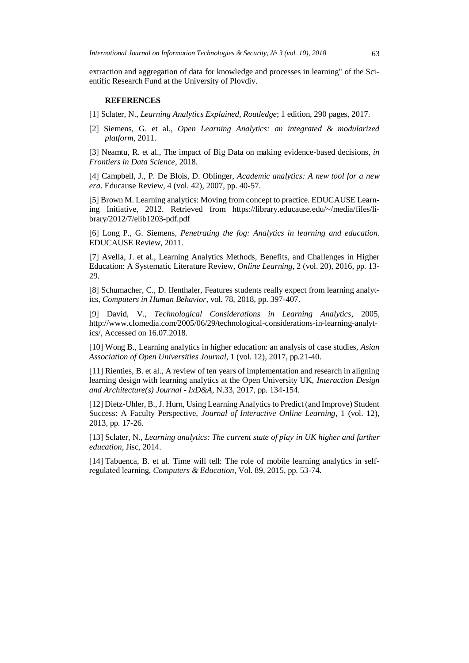extraction and aggregation of data for knowledge and processes in learning" of the Scientific Research Fund at the University of Plovdiv.

## **REFERENCES**

[1] Sclater, N., *Learning Analytics Explained, Routledge*; 1 edition, 290 pages, 2017.

[2] Siemens, G. et al., *Open Learning Analytics: an integrated & modularized platform*, 2011.

[3] Neamtu, R. et al., The impact of Big Data on making evidence-based decisions, *in Frontiers in Data Science*, 2018.

[4] Campbell, J., P. De Blois, D. Oblinger, *Academic analytics: A new tool for a new era*. Educause Review, 4 (vol. 42), 2007, pp. 40-57.

[5] Brown M. Learning analytics: Moving from concept to practice. EDUCAUSE Learning Initiative, 2012. Retrieved from https://library.educause.edu/~/media/files/library/2012/7/elib1203-pdf.pdf

[6] Long P., G. Siemens, *Penetrating the fog: Analytics in learning and education*. EDUCAUSE Review, 2011.

[7] Avella, J. et al., Learning Analytics Methods, Benefits, and Challenges in Higher Education: A Systematic Literature Review, *Online Learning,* 2 (vol. 20), 2016, pp. 13- 29.

[8] Schumacher, C., D. Ifenthaler, Features students really expect from learning analytics, *Computers in Human Behavior*, vol. 78, 2018, pp. 397-407.

[9] David, V., *Technological Considerations in Learning Analytics*, 2005, http://www.clomedia.com/2005/06/29/technological-considerations-in-learning-analytics/, Accessed on 16.07.2018.

[10] Wong B., Learning analytics in higher education: an analysis of case studies, *Asian Association of Open Universities Journal*, 1 (vol. 12), 2017, pp.21-40.

[11] Rienties, B. et al., A review of ten years of implementation and research in aligning learning design with learning analytics at the Open University UK, *Interaction Design and Architecture(s) Journal - IxD&A*, N.33, 2017, pp. 134-154.

[12] Dietz-Uhler, B., J. Hurn, Using Learning Analytics to Predict (and Improve) Student Success: A Faculty Perspective, *Journal of Interactive Online Learning*, 1 (vol. 12), 2013, pp. 17-26.

[13] Sclater, N., *Learning analytics: The current state of play in UK higher and further education*, Jisc, 2014.

[14] Tabuenca, B. et al. Time will tell: The role of mobile learning analytics in selfregulated learning, *Computers & Education*, Vol. 89, 2015, pp. 53-74.